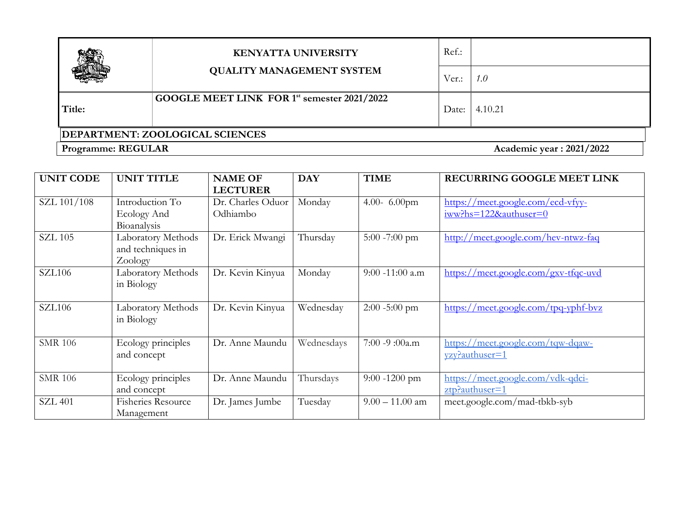|                                        | <b>KENYATTA UNIVERSITY</b><br><b>QUALITY MANAGEMENT SYSTEM</b> | Ref.: |                          |  |  |
|----------------------------------------|----------------------------------------------------------------|-------|--------------------------|--|--|
|                                        |                                                                | Ver.: | 1.0                      |  |  |
| Title:                                 | GOOGLE MEET LINK FOR 1st semester 2021/2022                    | Date: | 4.10.21                  |  |  |
| <b>DEPARTMENT: ZOOLOGICAL SCIENCES</b> |                                                                |       |                          |  |  |
| <b>Programme: REGULAR</b>              |                                                                |       | Academic year: 2021/2022 |  |  |

| <b>UNIT CODE</b> | <b>UNIT TITLE</b>                                  | <b>NAME OF</b><br><b>LECTURER</b> | <b>DAY</b> | <b>TIME</b>        | RECURRING GOOGLE MEET LINK                                    |
|------------------|----------------------------------------------------|-----------------------------------|------------|--------------------|---------------------------------------------------------------|
| SZL 101/108      | Introduction To<br>Ecology And<br>Bioanalysis      | Dr. Charles Oduor<br>Odhiambo     | Monday     | 4.00- $6.00$ pm    | https://meet.google.com/ecd-vfyv-<br>$iww?$ hs=122&authuser=0 |
| <b>SZL 105</b>   | Laboratory Methods<br>and techniques in<br>Zoology | Dr. Erick Mwangi                  | Thursday   | $5:00 - 7:00$ pm   | http://meet.google.com/hev-ntwz-faq                           |
| <b>SZL106</b>    | Laboratory Methods<br>in Biology                   | Dr. Kevin Kinyua                  | Monday     | $9:00 - 11:00$ a.m | https://meet.google.com/gxv-tfqc-uvd                          |
| <b>SZL106</b>    | Laboratory Methods<br>in Biology                   | Dr. Kevin Kinyua                  | Wednesday  | $2:00 - 5:00$ pm   | $\frac{https://meet.google.com/tpq-yphf-bvz}{theq-yphf-bvz}$  |
| <b>SMR 106</b>   | Ecology principles<br>and concept                  | Dr. Anne Maundu                   | Wednesdays | 7:00 -9:00a.m      | https://meet.google.com/tqw-dqaw-<br>yzy?authuser=1           |
| <b>SMR 106</b>   | Ecology principles<br>and concept                  | Dr. Anne Maundu                   | Thursdays  | $9:00 - 1200$ pm   | https://meet.google.com/vdk-qdci-<br>$ztp$ ? authuser=1       |
| <b>SZL 401</b>   | <b>Fisheries Resource</b><br>Management            | Dr. James Jumbe                   | Tuesday    | $9.00 - 11.00$ am  | meet.google.com/mad-tbkb-syb                                  |